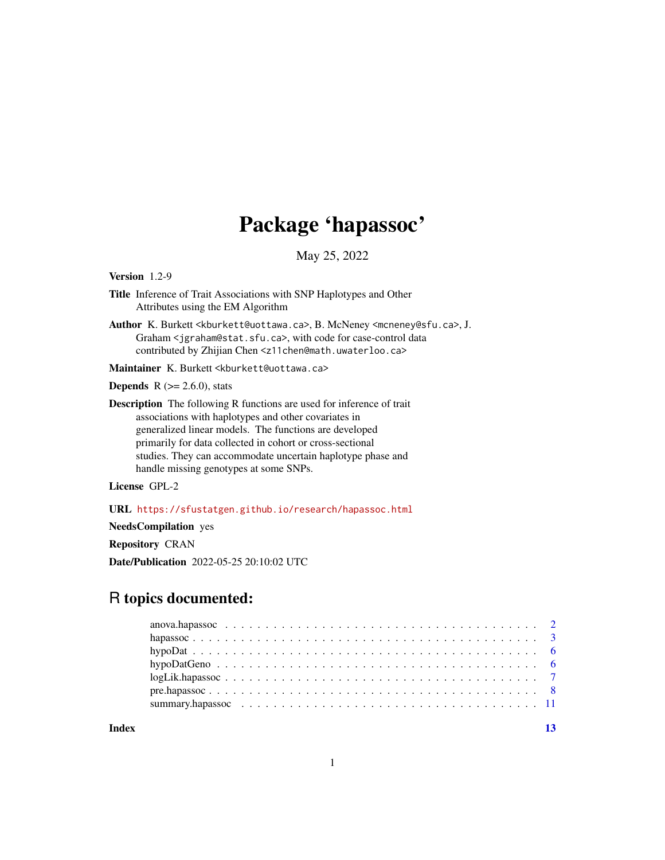## Package 'hapassoc'

May 25, 2022

<span id="page-0-0"></span>Version 1.2-9

- Title Inference of Trait Associations with SNP Haplotypes and Other Attributes using the EM Algorithm
- Author K. Burkett <kburkett@uottawa.ca>, B. McNeney <mcneney@sfu.ca>, J. Graham <jgraham@stat.sfu.ca>, with code for case-control data contributed by Zhijian Chen <z11chen@math.uwaterloo.ca>

Maintainer K. Burkett <kburkett@uottawa.ca>

**Depends** R  $(>= 2.6.0)$ , stats

Description The following R functions are used for inference of trait associations with haplotypes and other covariates in generalized linear models. The functions are developed primarily for data collected in cohort or cross-sectional studies. They can accommodate uncertain haplotype phase and handle missing genotypes at some SNPs.

License GPL-2

URL <https://sfustatgen.github.io/research/hapassoc.html>

NeedsCompilation yes

Repository CRAN

Date/Publication 2022-05-25 20:10:02 UTC

## R topics documented:

**Index** [13](#page-12-0)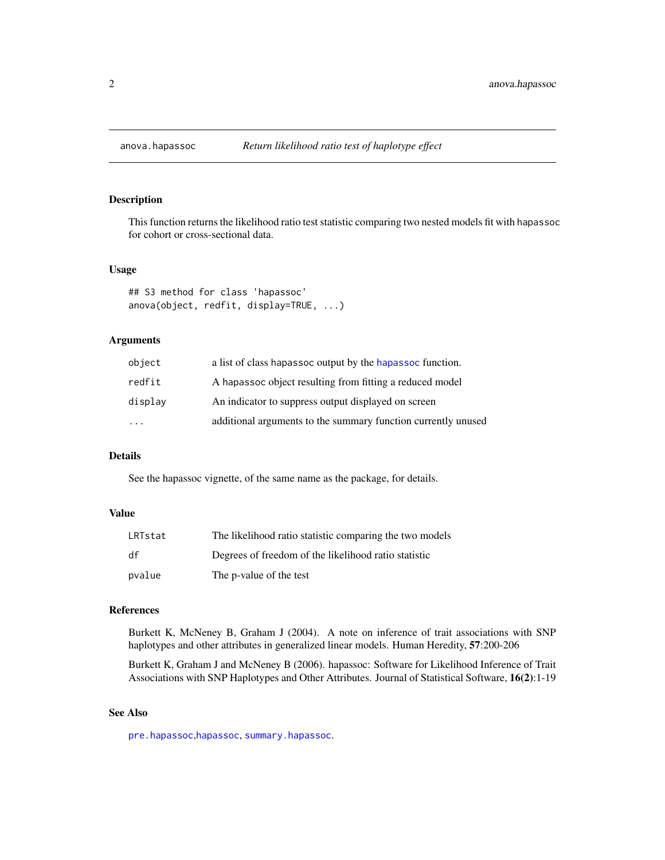## Description

This function returns the likelihood ratio test statistic comparing two nested models fit with hapassoc for cohort or cross-sectional data.

## Usage

```
## S3 method for class 'hapassoc'
anova(object, redfit, display=TRUE, ...)
```
## Arguments

| object    | a list of class hapassoc output by the hapassoc function.     |
|-----------|---------------------------------------------------------------|
| redfit    | A hapassoc object resulting from fitting a reduced model      |
| displav   | An indicator to suppress output displayed on screen           |
| $\ddotsc$ | additional arguments to the summary function currently unused |

## Details

See the hapassoc vignette, of the same name as the package, for details.

## Value

| LRTstat | The likelihood ratio statistic comparing the two models |
|---------|---------------------------------------------------------|
| df      | Degrees of freedom of the likelihood ratio statistic    |
| pvalue  | The p-value of the test                                 |

## References

Burkett K, McNeney B, Graham J (2004). A note on inference of trait associations with SNP haplotypes and other attributes in generalized linear models. Human Heredity, 57:200-206

Burkett K, Graham J and McNeney B (2006). hapassoc: Software for Likelihood Inference of Trait Associations with SNP Haplotypes and Other Attributes. Journal of Statistical Software, 16(2):1-19

## See Also

[pre.hapassoc](#page-7-1),[hapassoc](#page-2-1), [summary.hapassoc](#page-10-1).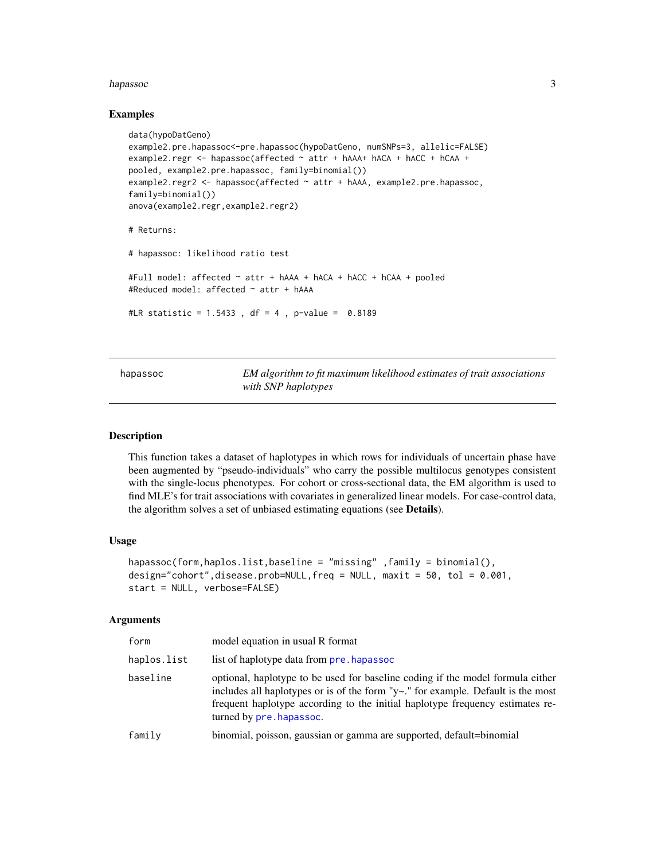## <span id="page-2-0"></span>hapassoc 3

## Examples

```
data(hypoDatGeno)
example2.pre.hapassoc<-pre.hapassoc(hypoDatGeno, numSNPs=3, allelic=FALSE)
example2.regr <- hapassoc(affected ~ attr + hAAA+ hACA + hACC + hCAA +
pooled, example2.pre.hapassoc, family=binomial())
example2.regr2 <- hapassoc(affected ~ attr + hAAA, example2.pre.hapassoc,
family=binomial())
anova(example2.regr,example2.regr2)
# Returns:
# hapassoc: likelihood ratio test
#Full model: affected ~ attr + hAAA + hACA + hACC + hCAA + pooled
#Reduced model: affected ~ attr + hAAA
#LR statistic = 1.5433, df = 4, p-value = 0.8189
```
<span id="page-2-1"></span>

hapassoc *EM algorithm to fit maximum likelihood estimates of trait associations with SNP haplotypes*

## Description

This function takes a dataset of haplotypes in which rows for individuals of uncertain phase have been augmented by "pseudo-individuals" who carry the possible multilocus genotypes consistent with the single-locus phenotypes. For cohort or cross-sectional data, the EM algorithm is used to find MLE's for trait associations with covariates in generalized linear models. For case-control data, the algorithm solves a set of unbiased estimating equations (see Details).

## Usage

```
hapassoc(form,haplos.list,baseline = "missing" ,family = binomial(),
design="cohort",disease.prob=NULL,freq = NULL, maxit = 50, tol = 0.001,
start = NULL, verbose=FALSE)
```
## Arguments

| form        | model equation in usual R format                                                                                                                                                                                                                                                        |
|-------------|-----------------------------------------------------------------------------------------------------------------------------------------------------------------------------------------------------------------------------------------------------------------------------------------|
| haplos.list | list of haplotype data from pre, hapassoc                                                                                                                                                                                                                                               |
| baseline    | optional, haplotype to be used for baseline coding if the model formula either<br>includes all haplotypes or is of the form " $y \sim$ ." for example. Default is the most<br>frequent haplotype according to the initial haplotype frequency estimates re-<br>turned by pre. hapassoc. |
| family      | binomial, poisson, gaussian or gamma are supported, default=binomial                                                                                                                                                                                                                    |
|             |                                                                                                                                                                                                                                                                                         |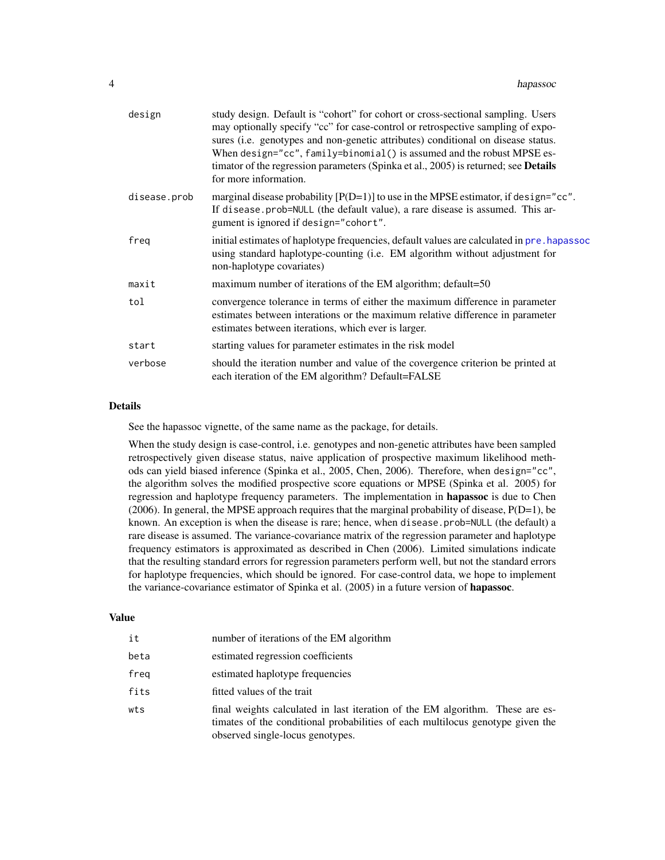| design       | study design. Default is "cohort" for cohort or cross-sectional sampling. Users<br>may optionally specify "cc" for case-control or retrospective sampling of expo-<br>sures (i.e. genotypes and non-genetic attributes) conditional on disease status.<br>When design="cc", family=binomial() is assumed and the robust MPSE es-<br>timator of the regression parameters (Spinka et al., 2005) is returned; see Details<br>for more information. |
|--------------|--------------------------------------------------------------------------------------------------------------------------------------------------------------------------------------------------------------------------------------------------------------------------------------------------------------------------------------------------------------------------------------------------------------------------------------------------|
| disease.prob | marginal disease probability $[P(D=1)]$ to use in the MPSE estimator, if design="cc".<br>If disease.prob=NULL (the default value), a rare disease is assumed. This ar-<br>gument is ignored if design="cohort".                                                                                                                                                                                                                                  |
| freg         | initial estimates of haplotype frequencies, default values are calculated in pre. hapassoc<br>using standard haplotype-counting (i.e. EM algorithm without adjustment for<br>non-haplotype covariates)                                                                                                                                                                                                                                           |
| maxit        | maximum number of iterations of the EM algorithm; default=50                                                                                                                                                                                                                                                                                                                                                                                     |
| tol          | convergence tolerance in terms of either the maximum difference in parameter<br>estimates between interations or the maximum relative difference in parameter<br>estimates between iterations, which ever is larger.                                                                                                                                                                                                                             |
| start        | starting values for parameter estimates in the risk model                                                                                                                                                                                                                                                                                                                                                                                        |
| verbose      | should the iteration number and value of the covergence criterion be printed at<br>each iteration of the EM algorithm? Default=FALSE                                                                                                                                                                                                                                                                                                             |

## Details

See the hapassoc vignette, of the same name as the package, for details.

When the study design is case-control, i.e. genotypes and non-genetic attributes have been sampled retrospectively given disease status, naive application of prospective maximum likelihood methods can yield biased inference (Spinka et al., 2005, Chen, 2006). Therefore, when design="cc", the algorithm solves the modified prospective score equations or MPSE (Spinka et al. 2005) for regression and haplotype frequency parameters. The implementation in hapassoc is due to Chen  $(2006)$ . In general, the MPSE approach requires that the marginal probability of disease,  $P(D=1)$ , be known. An exception is when the disease is rare; hence, when disease.prob=NULL (the default) a rare disease is assumed. The variance-covariance matrix of the regression parameter and haplotype frequency estimators is approximated as described in Chen (2006). Limited simulations indicate that the resulting standard errors for regression parameters perform well, but not the standard errors for haplotype frequencies, which should be ignored. For case-control data, we hope to implement the variance-covariance estimator of Spinka et al. (2005) in a future version of **hapassoc**.

#### Value

| it   | number of iterations of the EM algorithm                                                                                                                                                            |
|------|-----------------------------------------------------------------------------------------------------------------------------------------------------------------------------------------------------|
| beta | estimated regression coefficients                                                                                                                                                                   |
| freg | estimated haplotype frequencies                                                                                                                                                                     |
| fits | fitted values of the trait                                                                                                                                                                          |
| wts  | final weights calculated in last iteration of the EM algorithm. These are es-<br>timates of the conditional probabilities of each multilocus genotype given the<br>observed single-locus genotypes. |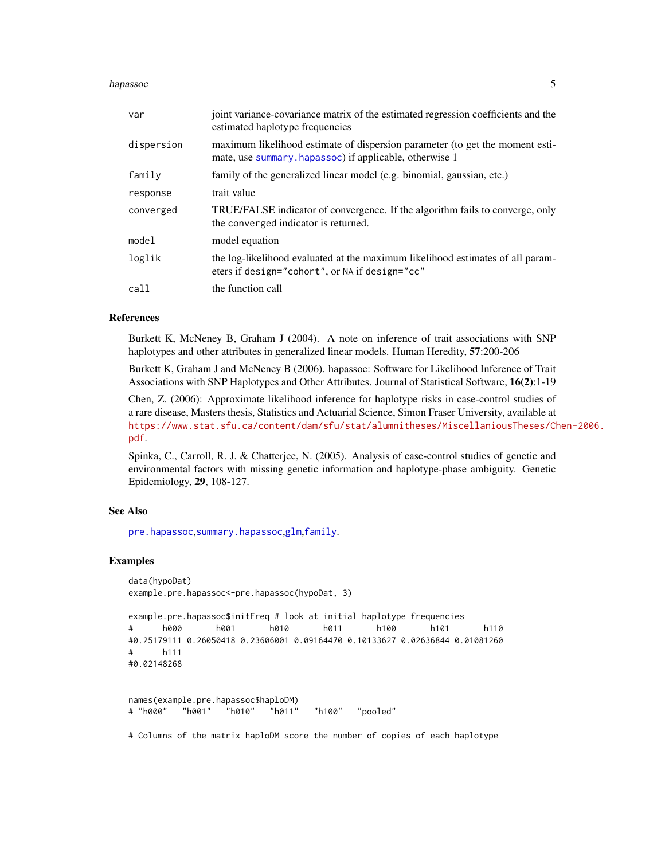## <span id="page-4-0"></span>hapassoc 5

| var        | joint variance-covariance matrix of the estimated regression coefficients and the<br>estimated haplotype frequencies                   |
|------------|----------------------------------------------------------------------------------------------------------------------------------------|
| dispersion | maximum likelihood estimate of dispersion parameter (to get the moment esti-<br>mate, use summary.hapassoc) if applicable, otherwise 1 |
| family     | family of the generalized linear model (e.g. binomial, gaussian, etc.)                                                                 |
| response   | trait value                                                                                                                            |
| converged  | TRUE/FALSE indicator of convergence. If the algorithm fails to converge, only<br>the converged indicator is returned.                  |
| model      | model equation                                                                                                                         |
| loglik     | the log-likelihood evaluated at the maximum likelihood estimates of all param-<br>eters if design="cohort", or NA if design="cc"       |
| call       | the function call                                                                                                                      |

#### References

Burkett K, McNeney B, Graham J (2004). A note on inference of trait associations with SNP haplotypes and other attributes in generalized linear models. Human Heredity, 57:200-206

Burkett K, Graham J and McNeney B (2006). hapassoc: Software for Likelihood Inference of Trait Associations with SNP Haplotypes and Other Attributes. Journal of Statistical Software, 16(2):1-19

Chen, Z. (2006): Approximate likelihood inference for haplotype risks in case-control studies of a rare disease, Masters thesis, Statistics and Actuarial Science, Simon Fraser University, available at [https://www.stat.sfu.ca/content/dam/sfu/stat/alumnitheses/MiscellaniousTheses/Ch](https://www.stat.sfu.ca/content/dam/sfu/stat/alumnitheses/MiscellaniousTheses/Chen-2006.pdf)en-2006. [pdf](https://www.stat.sfu.ca/content/dam/sfu/stat/alumnitheses/MiscellaniousTheses/Chen-2006.pdf).

Spinka, C., Carroll, R. J. & Chatterjee, N. (2005). Analysis of case-control studies of genetic and environmental factors with missing genetic information and haplotype-phase ambiguity. Genetic Epidemiology, 29, 108-127.

## See Also

[pre.hapassoc](#page-7-1),[summary.hapassoc](#page-10-1),[glm](#page-0-0),[family](#page-0-0).

## Examples

```
data(hypoDat)
example.pre.hapassoc<-pre.hapassoc(hypoDat, 3)
```

```
example.pre.hapassoc$initFreq # look at initial haplotype frequencies
# h000 h001 h010 h011 h100 h101 h110
#0.25179111 0.26050418 0.23606001 0.09164470 0.10133627 0.02636844 0.01081260
# h111
#0.02148268
```

```
names(example.pre.hapassoc$haploDM)
# "h000" "h001" "h010" "h011" "h100" "pooled"
```
# Columns of the matrix haploDM score the number of copies of each haplotype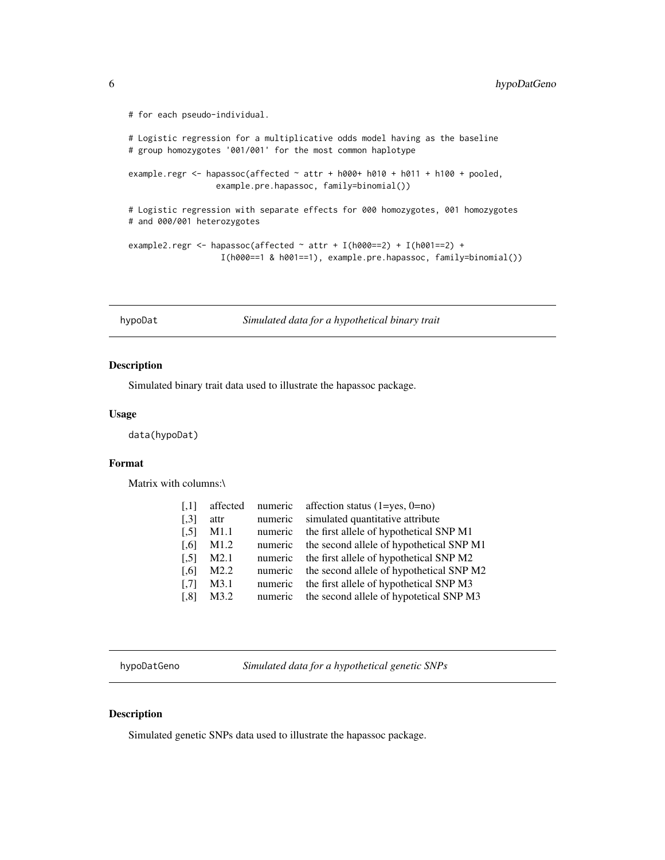```
# for each pseudo-individual.
```

```
# Logistic regression for a multiplicative odds model having as the baseline
# group homozygotes '001/001' for the most common haplotype
example.regr <- hapassoc(affected \sim attr + h000+ h010 + h011 + h100 + pooled,
                  example.pre.hapassoc, family=binomial())
# Logistic regression with separate effects for 000 homozygotes, 001 homozygotes
# and 000/001 heterozygotes
example2.regr <- hapassoc(affected \sim attr + I(h000==2) + I(h001==2) +
                   I(h000==1 & h001==1), example.pre.hapassoc, family=binomial())
```
hypoDat *Simulated data for a hypothetical binary trait*

## Description

Simulated binary trait data used to illustrate the hapassoc package.

## Usage

data(hypoDat)

## Format

Matrix with columns:\

| $\left[ .1 \right]$  | affected         | numeric | affection status $(1 = yes, 0 = no)$     |
|----------------------|------------------|---------|------------------------------------------|
| $\left[ .3 \right]$  | attr             | numeric | simulated quantitative attribute         |
| $\left[ 5 \right]$   | M1.1             | numeric | the first allele of hypothetical SNP M1  |
| $\left[ 0.6 \right]$ | M1.2             | numeric | the second allele of hypothetical SNP M1 |
| $\left[ 5 \right]$   | M2.1             | numeric | the first allele of hypothetical SNP M2  |
| $[$                  | M <sub>2.2</sub> | numeric | the second allele of hypothetical SNP M2 |
| $\left[ .7 \right]$  | M3.1             | numeric | the first allele of hypothetical SNP M3  |
| $\left[ .8\right]$   | M3.2             | numeric | the second allele of hypotetical SNP M3  |
|                      |                  |         |                                          |

hypoDatGeno *Simulated data for a hypothetical genetic SNPs*

## Description

Simulated genetic SNPs data used to illustrate the hapassoc package.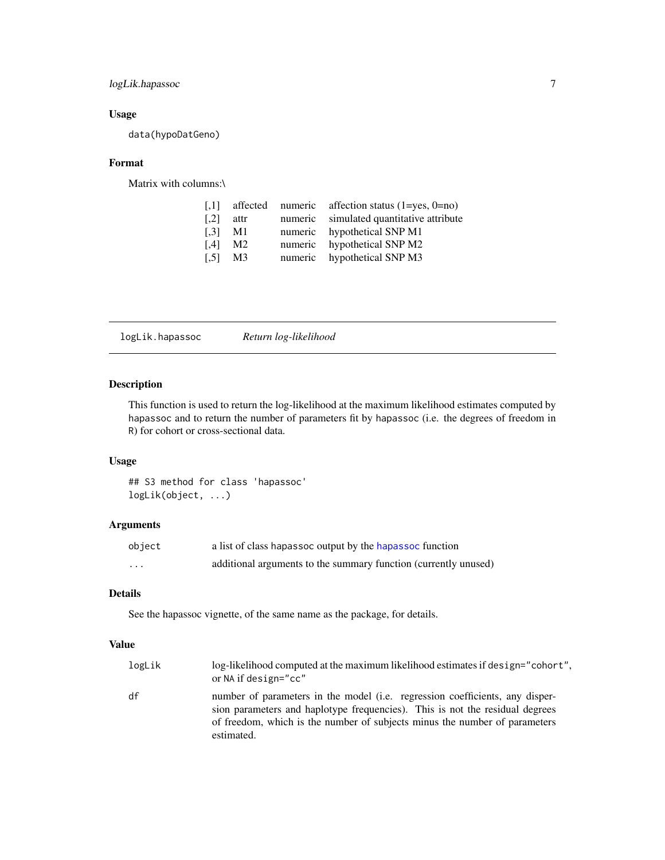## <span id="page-6-0"></span>logLik.hapassoc 7

## Usage

data(hypoDatGeno)

## Format

Matrix with columns:\

|                | affected numeric affection status $(1 = yes, 0 = no)$ |
|----------------|-------------------------------------------------------|
| attr           | numeric simulated quantitative attribute              |
| M1             | numeric hypothetical SNP M1                           |
| M <sub>2</sub> | numeric hypothetical SNP M2                           |
| M <sub>3</sub> | numeric hypothetical SNP M3                           |
|                |                                                       |

logLik.hapassoc *Return log-likelihood*

## Description

This function is used to return the log-likelihood at the maximum likelihood estimates computed by hapassoc and to return the number of parameters fit by hapassoc (i.e. the degrees of freedom in R) for cohort or cross-sectional data.

## Usage

## S3 method for class 'hapassoc' logLik(object, ...)

## Arguments

| object   | a list of class hapassoc output by the hapassoc function        |
|----------|-----------------------------------------------------------------|
| $\cdots$ | additional arguments to the summary function (currently unused) |

## Details

See the hapassoc vignette, of the same name as the package, for details.

## Value

| logLik | log-likelihood computed at the maximum likelihood estimates if design="cohort".<br>or NA if design="cc"                                                                                                                                                  |
|--------|----------------------------------------------------------------------------------------------------------------------------------------------------------------------------------------------------------------------------------------------------------|
| df     | number of parameters in the model (i.e. regression coefficients, any disper-<br>sion parameters and haplotype frequencies). This is not the residual degrees<br>of freedom, which is the number of subjects minus the number of parameters<br>estimated. |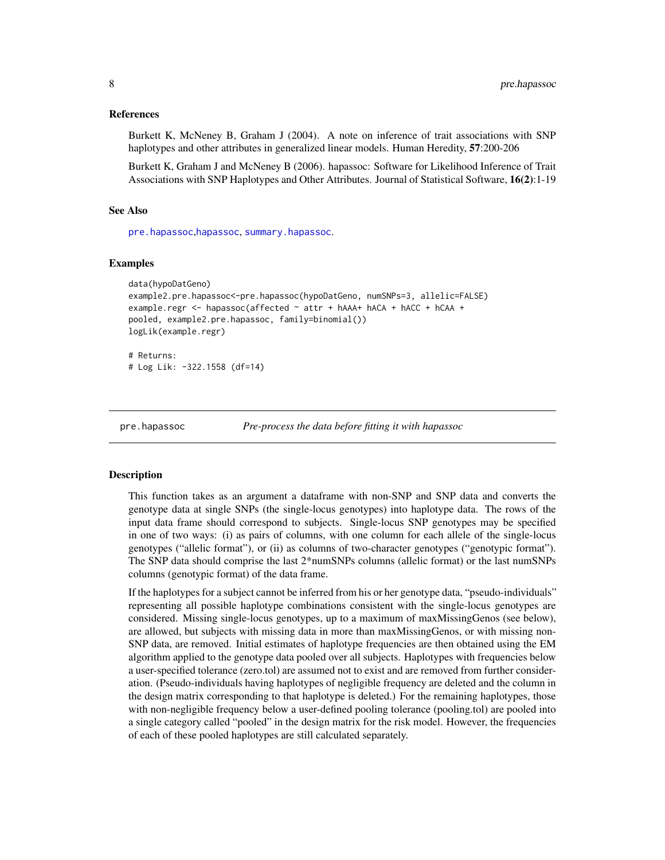## <span id="page-7-0"></span>References

Burkett K, McNeney B, Graham J (2004). A note on inference of trait associations with SNP haplotypes and other attributes in generalized linear models. Human Heredity, 57:200-206

Burkett K, Graham J and McNeney B (2006). hapassoc: Software for Likelihood Inference of Trait Associations with SNP Haplotypes and Other Attributes. Journal of Statistical Software, 16(2):1-19

## See Also

[pre.hapassoc](#page-7-1),[hapassoc](#page-2-1), [summary.hapassoc](#page-10-1).

## Examples

```
data(hypoDatGeno)
example2.pre.hapassoc<-pre.hapassoc(hypoDatGeno, numSNPs=3, allelic=FALSE)
example.regr <- hapassoc(affected ~ attr + hAAA+ hACA + hACC + hCAA +
pooled, example2.pre.hapassoc, family=binomial())
logLik(example.regr)
# Returns:
```
# Log Lik: -322.1558 (df=14)

<span id="page-7-1"></span>

pre.hapassoc *Pre-process the data before fitting it with hapassoc*

#### **Description**

This function takes as an argument a dataframe with non-SNP and SNP data and converts the genotype data at single SNPs (the single-locus genotypes) into haplotype data. The rows of the input data frame should correspond to subjects. Single-locus SNP genotypes may be specified in one of two ways: (i) as pairs of columns, with one column for each allele of the single-locus genotypes ("allelic format"), or (ii) as columns of two-character genotypes ("genotypic format"). The SNP data should comprise the last 2\*numSNPs columns (allelic format) or the last numSNPs columns (genotypic format) of the data frame.

If the haplotypes for a subject cannot be inferred from his or her genotype data, "pseudo-individuals" representing all possible haplotype combinations consistent with the single-locus genotypes are considered. Missing single-locus genotypes, up to a maximum of maxMissingGenos (see below), are allowed, but subjects with missing data in more than maxMissingGenos, or with missing non-SNP data, are removed. Initial estimates of haplotype frequencies are then obtained using the EM algorithm applied to the genotype data pooled over all subjects. Haplotypes with frequencies below a user-specified tolerance (zero.tol) are assumed not to exist and are removed from further consideration. (Pseudo-individuals having haplotypes of negligible frequency are deleted and the column in the design matrix corresponding to that haplotype is deleted.) For the remaining haplotypes, those with non-negligible frequency below a user-defined pooling tolerance (pooling.tol) are pooled into a single category called "pooled" in the design matrix for the risk model. However, the frequencies of each of these pooled haplotypes are still calculated separately.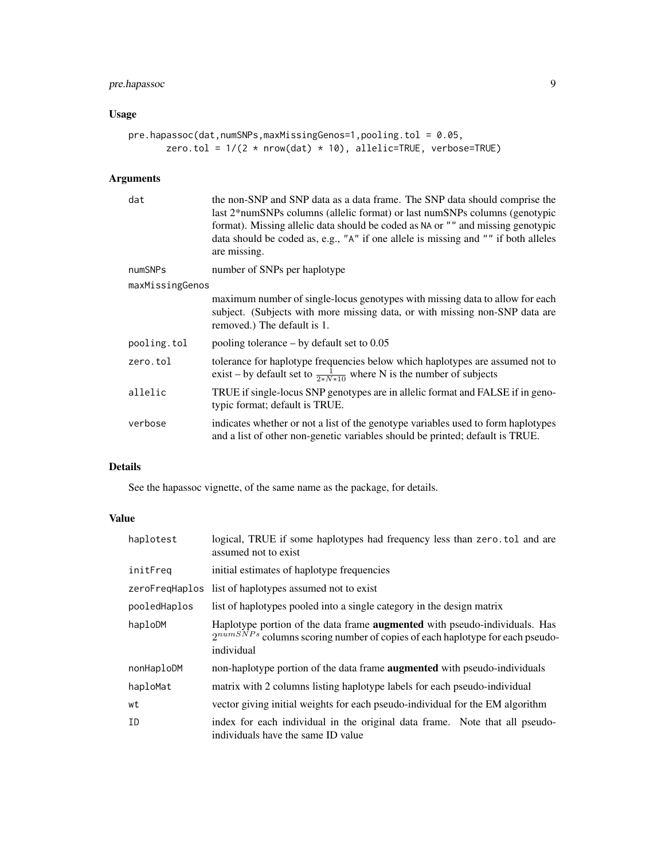## pre.hapassoc 9

## Usage

```
pre.hapassoc(dat,numSNPs,maxMissingGenos=1,pooling.tol = 0.05,
      zero.tol = 1/(2 * nrow(data) * 10), allelic=TRUE, verbose=TRUE)
```
## Arguments

| dat             | the non-SNP and SNP data as a data frame. The SNP data should comprise the<br>last 2*numSNPs columns (allelic format) or last numSNPs columns (genotypic<br>format). Missing allelic data should be coded as NA or "" and missing genotypic<br>data should be coded as, e.g., "A" if one allele is missing and "" if both alleles<br>are missing. |
|-----------------|---------------------------------------------------------------------------------------------------------------------------------------------------------------------------------------------------------------------------------------------------------------------------------------------------------------------------------------------------|
| numSNPs         | number of SNPs per haplotype                                                                                                                                                                                                                                                                                                                      |
| maxMissingGenos |                                                                                                                                                                                                                                                                                                                                                   |
|                 | maximum number of single-locus genotypes with missing data to allow for each<br>subject. (Subjects with more missing data, or with missing non-SNP data are<br>removed.) The default is 1.                                                                                                                                                        |
| pooling.tol     | pooling tolerance $-$ by default set to 0.05                                                                                                                                                                                                                                                                                                      |
| zero.tol        | tolerance for haplotype frequencies below which haplotypes are assumed not to<br>exist – by default set to $\frac{1}{2*N*10}$ where N is the number of subjects                                                                                                                                                                                   |
| allelic         | TRUE if single-locus SNP genotypes are in allelic format and FALSE if in geno-<br>typic format; default is TRUE.                                                                                                                                                                                                                                  |
| verbose         | indicates whether or not a list of the genotype variables used to form haplotypes<br>and a list of other non-genetic variables should be printed; default is TRUE.                                                                                                                                                                                |

## Details

See the hapassoc vignette, of the same name as the package, for details.

## Value

| haplotest    | logical, TRUE if some haplotypes had frequency less than zero.tol and are<br>assumed not to exist                                                                                    |
|--------------|--------------------------------------------------------------------------------------------------------------------------------------------------------------------------------------|
| initFreq     | initial estimates of haplotype frequencies                                                                                                                                           |
|              | zeroFreqHaplos list of haplotypes assumed not to exist                                                                                                                               |
| pooledHaplos | list of haplotypes pooled into a single category in the design matrix                                                                                                                |
| haploDM      | Haplotype portion of the data frame <b>augmented</b> with pseudo-individuals. Has<br>$2^{numSNPs}$ columns scoring number of copies of each haplotype for each pseudo-<br>individual |
| nonHaploDM   | non-haplotype portion of the data frame <b>augmented</b> with pseudo-individuals                                                                                                     |
| haploMat     | matrix with 2 columns listing haplotype labels for each pseudo-individual                                                                                                            |
| wt           | vector giving initial weights for each pseudo-individual for the EM algorithm                                                                                                        |
| ID           | index for each individual in the original data frame. Note that all pseudo-<br>individuals have the same ID value                                                                    |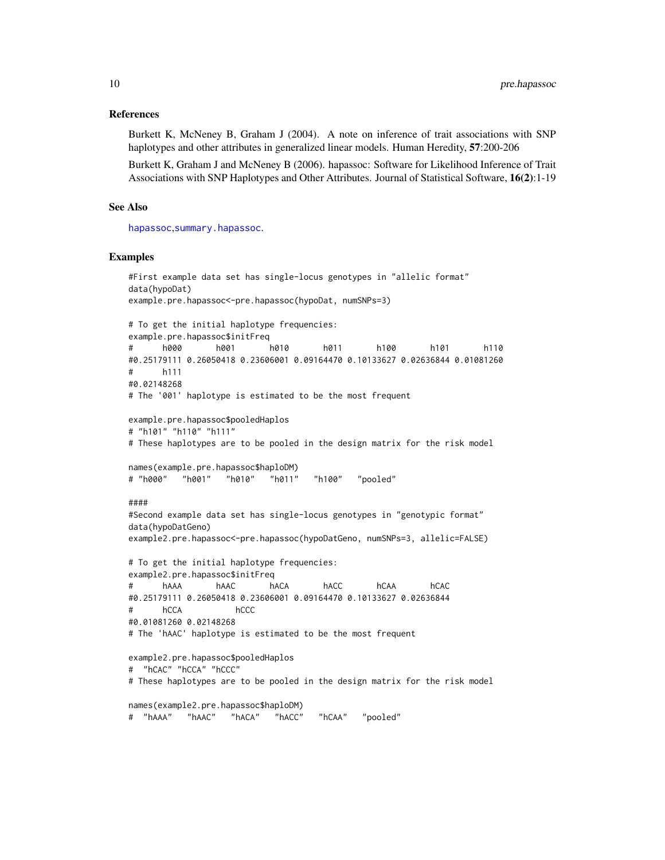## References

Burkett K, McNeney B, Graham J (2004). A note on inference of trait associations with SNP haplotypes and other attributes in generalized linear models. Human Heredity, 57:200-206

Burkett K, Graham J and McNeney B (2006). hapassoc: Software for Likelihood Inference of Trait Associations with SNP Haplotypes and Other Attributes. Journal of Statistical Software, 16(2):1-19

## See Also

[hapassoc](#page-2-1),[summary.hapassoc](#page-10-1).

## Examples

```
#First example data set has single-locus genotypes in "allelic format"
data(hypoDat)
example.pre.hapassoc<-pre.hapassoc(hypoDat, numSNPs=3)
# To get the initial haplotype frequencies:
example.pre.hapassoc$initFreq
# h000 h001 h010 h011 h100 h101 h110
#0.25179111 0.26050418 0.23606001 0.09164470 0.10133627 0.02636844 0.01081260
# h111
#0.02148268
# The '001' haplotype is estimated to be the most frequent
example.pre.hapassoc$pooledHaplos
# "h101" "h110" "h111"
# These haplotypes are to be pooled in the design matrix for the risk model
names(example.pre.hapassoc$haploDM)
# "h000" "h001" "h010" "h011" "h100" "pooled"
####
#Second example data set has single-locus genotypes in "genotypic format"
data(hypoDatGeno)
example2.pre.hapassoc<-pre.hapassoc(hypoDatGeno, numSNPs=3, allelic=FALSE)
# To get the initial haplotype frequencies:
example2.pre.hapassoc$initFreq
# hAAA hAAC hACA hACC hCAA hCAC
#0.25179111 0.26050418 0.23606001 0.09164470 0.10133627 0.02636844
# hCCA hCCC
#0.01081260 0.02148268
# The 'hAAC' haplotype is estimated to be the most frequent
example2.pre.hapassoc$pooledHaplos
# "hCAC" "hCCA" "hCCC"
# These haplotypes are to be pooled in the design matrix for the risk model
names(example2.pre.hapassoc$haploDM)
# "hAAA" "hAAC" "hACA" "hACC" "hCAA" "pooled"
```
<span id="page-9-0"></span>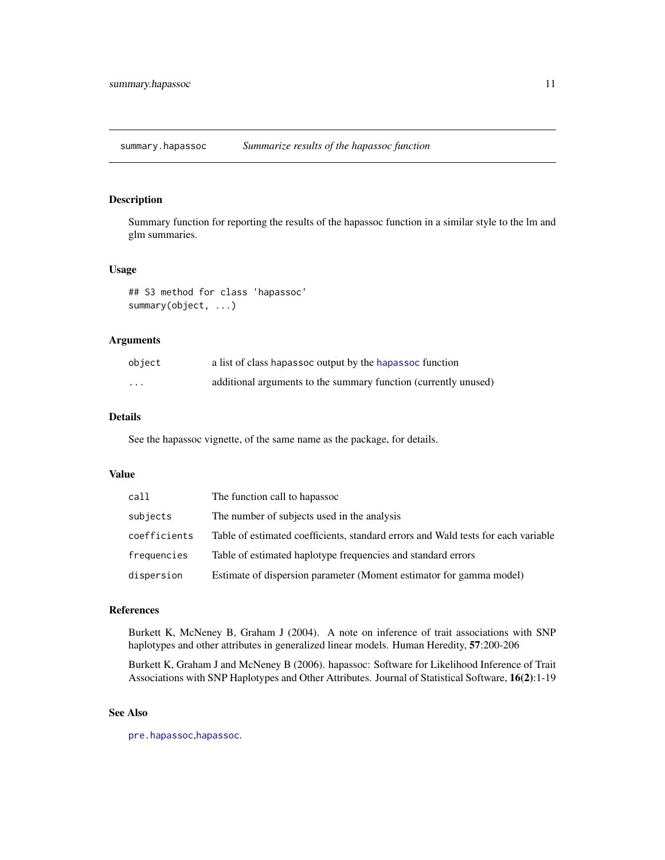<span id="page-10-1"></span><span id="page-10-0"></span>summary.hapassoc *Summarize results of the hapassoc function*

## Description

Summary function for reporting the results of the hapassoc function in a similar style to the lm and glm summaries.

## Usage

## S3 method for class 'hapassoc' summary(object, ...)

## Arguments

| object | a list of class hapassoc output by the hapassoc function        |
|--------|-----------------------------------------------------------------|
| .      | additional arguments to the summary function (currently unused) |

## Details

See the hapassoc vignette, of the same name as the package, for details.

## Value

| call         | The function call to hapassoc                                                     |
|--------------|-----------------------------------------------------------------------------------|
| subjects     | The number of subjects used in the analysis                                       |
| coefficients | Table of estimated coefficients, standard errors and Wald tests for each variable |
| frequencies  | Table of estimated haplotype frequencies and standard errors                      |
| dispersion   | Estimate of dispersion parameter (Moment estimator for gamma model)               |

## References

Burkett K, McNeney B, Graham J (2004). A note on inference of trait associations with SNP haplotypes and other attributes in generalized linear models. Human Heredity, 57:200-206

Burkett K, Graham J and McNeney B (2006). hapassoc: Software for Likelihood Inference of Trait Associations with SNP Haplotypes and Other Attributes. Journal of Statistical Software, 16(2):1-19

## See Also

[pre.hapassoc](#page-7-1),[hapassoc](#page-2-1).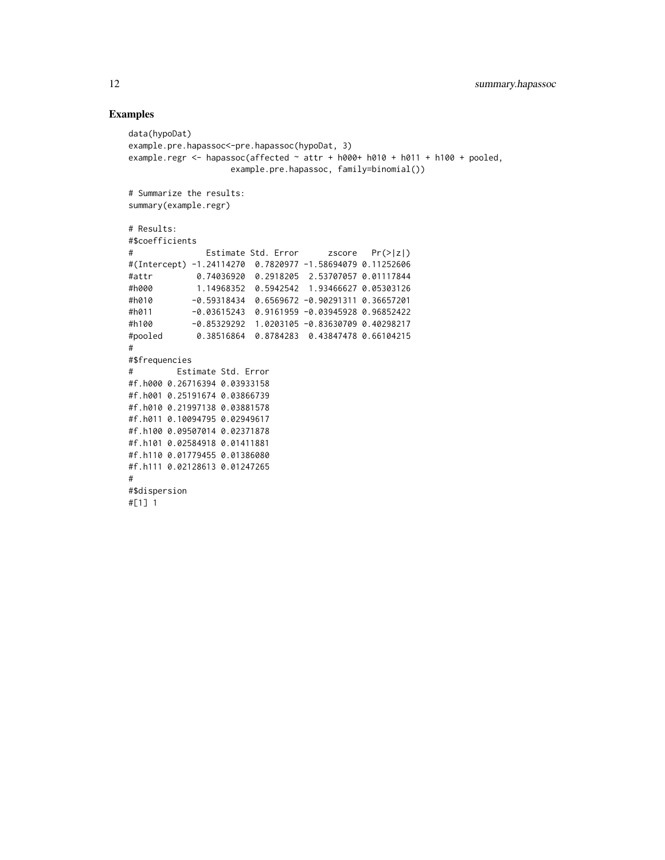## Examples

```
data(hypoDat)
example.pre.hapassoc<-pre.hapassoc(hypoDat, 3)
example.regr <- hapassoc(affected \sim attr + h000+ h010 + h011 + h100 + pooled,
                   example.pre.hapassoc, family=binomial())
# Summarize the results:
summary(example.regr)
# Results:
#$coefficients
# Estimate Std. Error zscore Pr(>|z|)
#(Intercept) -1.24114270 0.7820977 -1.58694079 0.11252606
#attr 0.74036920 0.2918205 2.53707057 0.01117844
#h000 1.14968352 0.5942542 1.93466627 0.05303126
#h010 -0.59318434 0.6569672 -0.90291311 0.36657201
#h011 -0.03615243 0.9161959 -0.03945928 0.96852422
#h100 -0.85329292 1.0203105 -0.83630709 0.40298217
#pooled 0.38516864 0.8784283 0.43847478 0.66104215
#
#$frequencies
# Estimate Std. Error
#f.h000 0.26716394 0.03933158
#f.h001 0.25191674 0.03866739
#f.h010 0.21997138 0.03881578
#f.h011 0.10094795 0.02949617
#f.h100 0.09507014 0.02371878
#f.h101 0.02584918 0.01411881
#f.h110 0.01779455 0.01386080
#f.h111 0.02128613 0.01247265
#
#$dispersion
#[1] 1
```